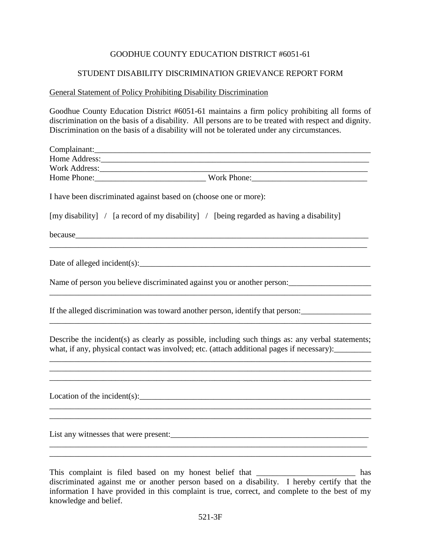## GOODHUE COUNTY EDUCATION DISTRICT #6051-61

## STUDENT DISABILITY DISCRIMINATION GRIEVANCE REPORT FORM

## General Statement of Policy Prohibiting Disability Discrimination

Goodhue County Education District #6051-61 maintains a firm policy prohibiting all forms of discrimination on the basis of a disability. All persons are to be treated with respect and dignity. Discrimination on the basis of a disability will not be tolerated under any circumstances.

| Home Address:                                                                                                                                                                                  |
|------------------------------------------------------------------------------------------------------------------------------------------------------------------------------------------------|
|                                                                                                                                                                                                |
|                                                                                                                                                                                                |
| I have been discriminated against based on (choose one or more):                                                                                                                               |
| [my disability] / [a record of my disability] / [being regarded as having a disability]                                                                                                        |
| because the cause of the contract of the cause of the cause of the cause of the cause of the cause of the cause                                                                                |
|                                                                                                                                                                                                |
|                                                                                                                                                                                                |
| If the alleged discrimination was toward another person, identify that person:                                                                                                                 |
| Describe the incident(s) as clearly as possible, including such things as: any verbal statements;<br>what, if any, physical contact was involved; etc. (attach additional pages if necessary): |
| ,我们也不会有什么。""我们的人,我们也不会有什么?""我们的人,我们也不会有什么?""我们的人,我们的人,我们的人,我们的人,我们的人,我们的人,我们的人,我们<br>Location of the incident(s): $\qquad \qquad$                                                              |
| List any witnesses that were present:<br><u>List</u> any witnesses that were present:                                                                                                          |
| and the control of the control of the control of the control of the control of the control of the control of the                                                                               |

This complaint is filed based on my honest belief that \_\_\_\_\_\_\_\_\_\_\_\_\_\_\_\_\_\_\_\_\_\_\_\_\_\_ has discriminated against me or another person based on a disability. I hereby certify that the information I have provided in this complaint is true, correct, and complete to the best of my knowledge and belief.